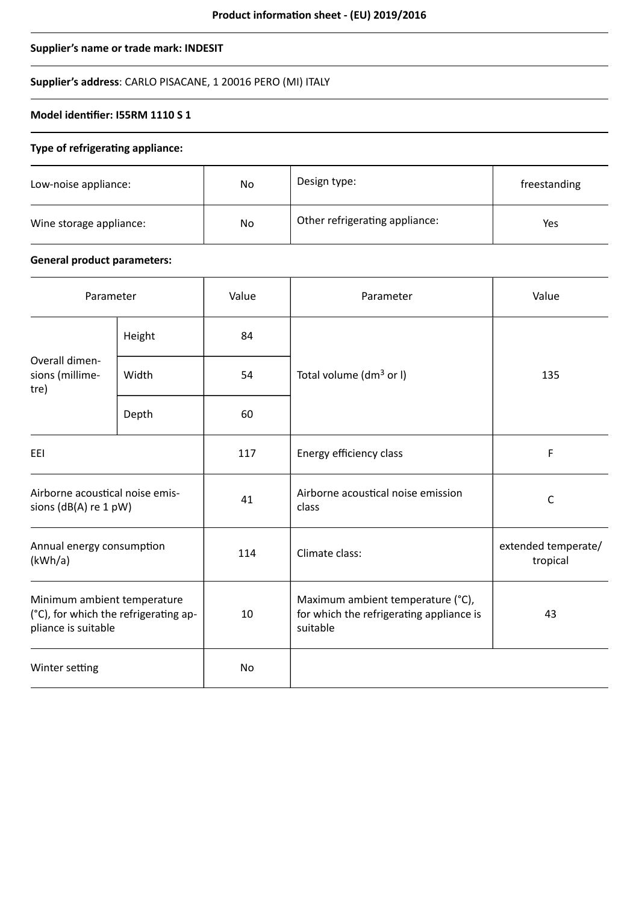# **Supplier's name or trade mark: INDESIT**

# **Supplier's address**: CARLO PISACANE, 1 20016 PERO (MI) ITALY

# **Model identifier: I55RM 1110 S 1**

#### **Type of refrigerating appliance:**

| Low-noise appliance:    | No | Design type:                   | freestanding |
|-------------------------|----|--------------------------------|--------------|
| Wine storage appliance: | No | Other refrigerating appliance: | Yes          |

# **General product parameters:**

| Parameter                                                                                   |        | Value | Parameter                                                                                 | Value                           |
|---------------------------------------------------------------------------------------------|--------|-------|-------------------------------------------------------------------------------------------|---------------------------------|
| Overall dimen-<br>sions (millime-<br>tre)                                                   | Height | 84    |                                                                                           | 135                             |
|                                                                                             | Width  | 54    | Total volume (dm <sup>3</sup> or I)                                                       |                                 |
|                                                                                             | Depth  | 60    |                                                                                           |                                 |
| EEI                                                                                         |        | 117   | Energy efficiency class                                                                   | F                               |
| Airborne acoustical noise emis-<br>sions (dB(A) re 1 pW)                                    |        | 41    | Airborne acoustical noise emission<br>class                                               | $\mathsf C$                     |
| Annual energy consumption<br>(kWh/a)                                                        |        | 114   | Climate class:                                                                            | extended temperate/<br>tropical |
| Minimum ambient temperature<br>(°C), for which the refrigerating ap-<br>pliance is suitable |        | 10    | Maximum ambient temperature (°C),<br>for which the refrigerating appliance is<br>suitable | 43                              |
| Winter setting                                                                              |        | No    |                                                                                           |                                 |